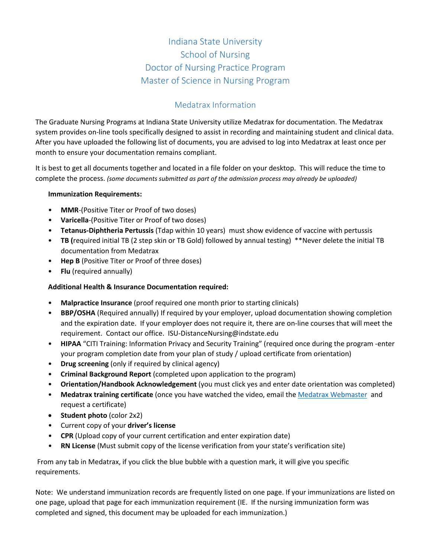# Indiana State University School of Nursing Doctor of Nursing Practice Program Master of Science in Nursing Program

## Medatrax Information

The Graduate Nursing Programs at Indiana State University utilize Medatrax for documentation. The Medatrax system provides on-line tools specifically designed to assist in recording and maintaining student and clinical data. After you have uploaded the following list of documents, you are advised to log into Medatrax at least once per month to ensure your documentation remains compliant.

It is best to get all documents together and located in a file folder on your desktop. This will reduce the time to complete the process. *(some documents submitted as part of the admission process may already be uploaded)*

#### **Immunization Requirements:**

- **MMR**-(Positive Titer or Proof of two doses)
- **Varicella**-(Positive Titer or Proof of two doses)
- **Tetanus-Diphtheria Pertussis** (Tdap within 10 years) must show evidence of vaccine with pertussis
- **TB (**required initial TB (2 step skin or TB Gold) followed by annual testing) \*\*Never delete the initial TB documentation from Medatrax
- **Hep B** (Positive Titer or Proof of three doses)
- **Flu** (required annually)

#### **Additional Health & Insurance Documentation required:**

- **Malpractice Insurance** (proof required one month prior to starting clinicals)
- **BBP/OSHA** (Required annually) If required by your employer, upload documentation showing completion and the expiration date. If your employer does not require it, there are on-line courses that will meet the requirement. Contact our office. ISU-DistanceNursing@indstate.edu
- **HIPAA** "CITI Training: Information Privacy and Security Training" (required once during the program -enter your program completion date from your plan of study / upload certificate from orientation)
- **Drug screening** (only if required by clinical agency)
- **Criminal Background Report** (completed upon application to the program)
- **Orientation/Handbook Acknowledgement** (you must click yes and enter date orientation was completed)
- **Medatrax training certificate** (once you have watched the video, email the [Medatrax Webmaster](mailto:Webmaster@medatrax.com) and request a certificate)
- **Student photo** (color 2x2)
- Current copy of your **driver's license**
- **CPR** (Upload copy of your current certification and enter expiration date)
- **RN License** (Must submit copy of the license verification from your state's verification site)

From any tab in Medatrax, if you click the blue bubble with a question mark, it will give you specific requirements.

Note: We understand immunization records are frequently listed on one page. If your immunizations are listed on one page, upload that page for each immunization requirement (IE. If the nursing immunization form was completed and signed, this document may be uploaded for each immunization.)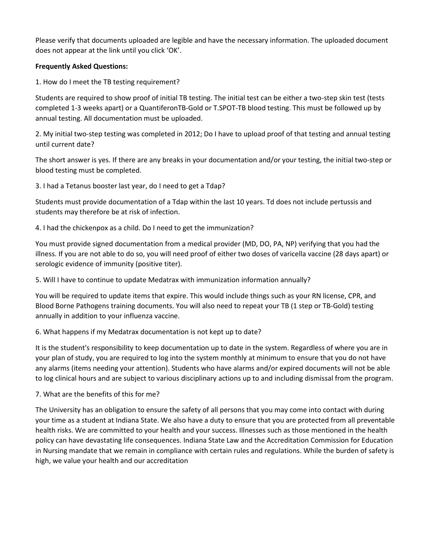Please verify that documents uploaded are legible and have the necessary information. The uploaded document does not appear at the link until you click 'OK'.

#### **Frequently Asked Questions:**

1. How do I meet the TB testing requirement?

Students are required to show proof of initial TB testing. The initial test can be either a two-step skin test (tests completed 1-3 weeks apart) or a QuantiferonTB-Gold or T.SPOT-TB blood testing. This must be followed up by annual testing. All documentation must be uploaded.

2. My initial two-step testing was completed in 2012; Do I have to upload proof of that testing and annual testing until current date?

The short answer is yes. If there are any breaks in your documentation and/or your testing, the initial two-step or blood testing must be completed.

3. I had a Tetanus booster last year, do I need to get a Tdap?

Students must provide documentation of a Tdap within the last 10 years. Td does not include pertussis and students may therefore be at risk of infection.

4. I had the chickenpox as a child. Do I need to get the immunization?

You must provide signed documentation from a medical provider (MD, DO, PA, NP) verifying that you had the illness. If you are not able to do so, you will need proof of either two doses of varicella vaccine (28 days apart) or serologic evidence of immunity (positive titer).

5. Will I have to continue to update Medatrax with immunization information annually?

You will be required to update items that expire. This would include things such as your RN license, CPR, and Blood Borne Pathogens training documents. You will also need to repeat your TB (1 step or TB-Gold) testing annually in addition to your influenza vaccine.

6. What happens if my Medatrax documentation is not kept up to date?

It is the student's responsibility to keep documentation up to date in the system. Regardless of where you are in your plan of study, you are required to log into the system monthly at minimum to ensure that you do not have any alarms (items needing your attention). Students who have alarms and/or expired documents will not be able to log clinical hours and are subject to various disciplinary actions up to and including dismissal from the program.

### 7. What are the benefits of this for me?

The University has an obligation to ensure the safety of all persons that you may come into contact with during your time as a student at Indiana State. We also have a duty to ensure that you are protected from all preventable health risks. We are committed to your health and your success. Illnesses such as those mentioned in the health policy can have devastating life consequences. Indiana State Law and the Accreditation Commission for Education in Nursing mandate that we remain in compliance with certain rules and regulations. While the burden of safety is high, we value your health and our accreditation